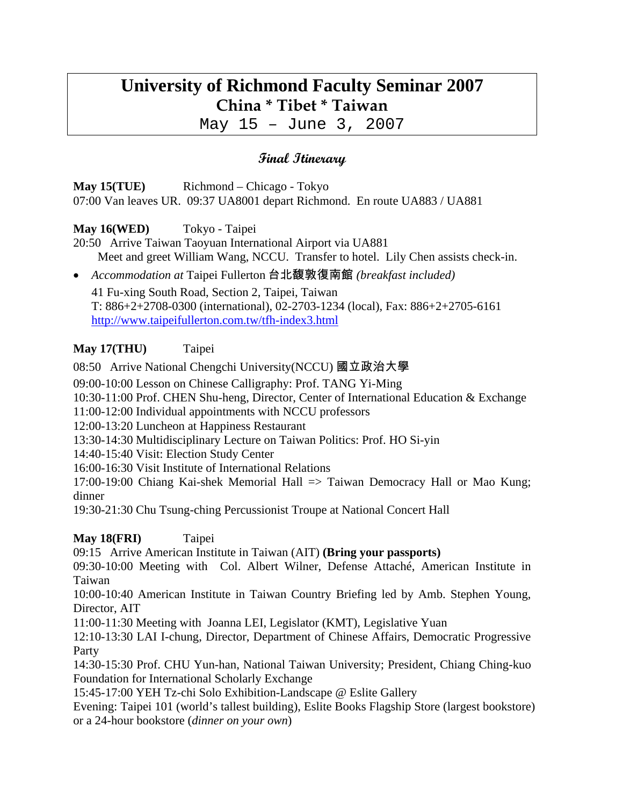# **University of Richmond Faculty Seminar 2007 China \* Tibet \* Taiwan**

May 15 – June 3, 2007

# **Final Itinerary**

**May 15(TUE)** Richmond – Chicago - Tokyo 07:00 Van leaves UR. 09:37 UA8001 depart Richmond. En route UA883 / UA881

## **May 16(WED)** Tokyo - Taipei

20:50 Arrive Taiwan Taoyuan International Airport via UA881 Meet and greet William Wang, NCCU. Transfer to hotel. Lily Chen assists check-in.

• *Accommodation at* Taipei Fullerton 台北馥敦復南館 *(breakfast included)* 41 Fu-xing South Road, Section 2, Taipei, Taiwan T: 886+2+2708-0300 (international), 02-2703-1234 (local), Fax: 886+2+2705-6161 http://www.taipeifullerton.com.tw/tfh-index3.html

## **May 17(THU)** Taipei

08:50 Arrive National Chengchi University(NCCU) 國立政治大學

09:00-10:00 Lesson on Chinese Calligraphy: Prof. TANG Yi-Ming

10:30-11:00 Prof. CHEN Shu-heng, Director, Center of International Education & Exchange

11:00-12:00 Individual appointments with NCCU professors

12:00-13:20 Luncheon at Happiness Restaurant

13:30-14:30 Multidisciplinary Lecture on Taiwan Politics: Prof. HO Si-yin

14:40-15:40 Visit: Election Study Center

16:00-16:30 Visit Institute of International Relations

17:00-19:00 Chiang Kai-shek Memorial Hall => Taiwan Democracy Hall or Mao Kung; dinner

19:30-21:30 Chu Tsung-ching Percussionist Troupe at National Concert Hall

## **May 18(FRI)** Taipei

09:15 Arrive American Institute in Taiwan (AIT) **(Bring your passports)**

09:30-10:00 Meeting with Col. Albert Wilner, Defense Attaché, American Institute in Taiwan

10:00-10:40 American Institute in Taiwan Country Briefing led by Amb. Stephen Young, Director, AIT

11:00-11:30 Meeting with Joanna LEI, Legislator (KMT), Legislative Yuan

12:10-13:30 LAI I-chung, Director, Department of Chinese Affairs, Democratic Progressive Party

14:30-15:30 Prof. CHU Yun-han, National Taiwan University; President, Chiang Ching-kuo Foundation for International Scholarly Exchange

15:45-17:00 YEH Tz-chi Solo Exhibition-Landscape @ Eslite Gallery

Evening: Taipei 101 (world's tallest building), Eslite Books Flagship Store (largest bookstore) or a 24-hour bookstore (*dinner on your own*)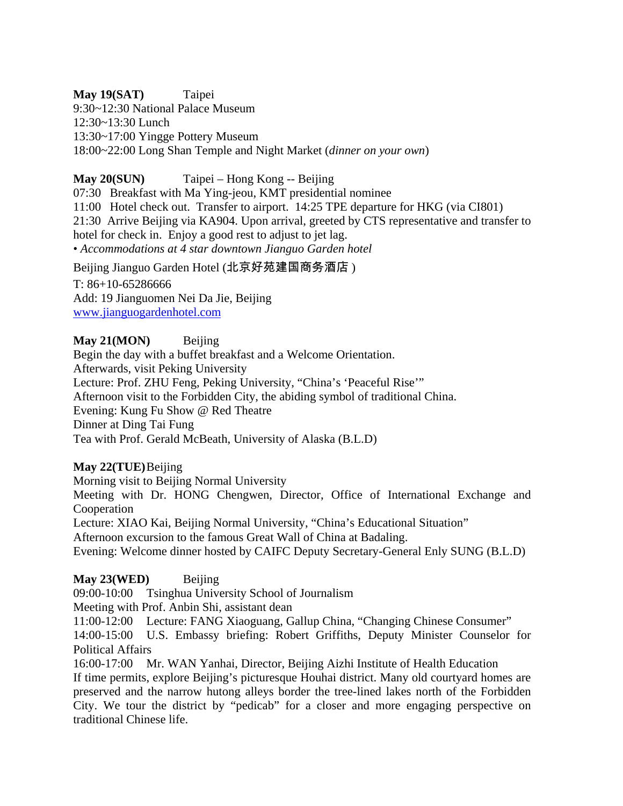#### **May 19(SAT)** Taipei

9:30~12:30 National Palace Museum 12:30~13:30 Lunch 13:30~17:00 Yingge Pottery Museum 18:00~22:00 Long Shan Temple and Night Market (*dinner on your own*)

## **May 20(SUN)** Taipei – Hong Kong -- Beijing

07:30 Breakfast with Ma Ying-jeou, KMT presidential nominee 11:00 Hotel check out. Transfer to airport. 14:25 TPE departure for HKG (via CI801) 21:30 Arrive Beijing via KA904. Upon arrival, greeted by CTS representative and transfer to hotel for check in. Enjoy a good rest to adjust to jet lag. • *Accommodations at 4 star downtown Jianguo Garden hotel* 

Beijing Jianguo Garden Hotel (北京好苑建国商务酒店 )

T: 86+10-65286666 Add: 19 Jianguomen Nei Da Jie, Beijing www.jianguogardenhotel.com

#### **May 21(MON)** Beijing

Begin the day with a buffet breakfast and a Welcome Orientation. Afterwards, visit Peking University Lecture: Prof. ZHU Feng, Peking University, "China's 'Peaceful Rise'" Afternoon visit to the Forbidden City, the abiding symbol of traditional China. Evening: Kung Fu Show @ Red Theatre Dinner at Ding Tai Fung Tea with Prof. Gerald McBeath, University of Alaska (B.L.D)

#### **May 22(TUE)** Beijing

Morning visit to Beijing Normal University

Meeting with Dr. HONG Chengwen, Director, Office of International Exchange and Cooperation

Lecture: XIAO Kai, Beijing Normal University, "China's Educational Situation"

Afternoon excursion to the famous Great Wall of China at Badaling.

Evening: Welcome dinner hosted by CAIFC Deputy Secretary-General Enly SUNG (B.L.D)

#### **May 23(WED)** Beijing

09:00-10:00 Tsinghua University School of Journalism

Meeting with Prof. Anbin Shi, assistant dean

11:00-12:00 Lecture: FANG Xiaoguang, Gallup China, "Changing Chinese Consumer"

14:00-15:00 U.S. Embassy briefing: Robert Griffiths, Deputy Minister Counselor for Political Affairs

16:00-17:00 Mr. WAN Yanhai, Director, Beijing Aizhi Institute of Health Education If time permits, explore Beijing's picturesque Houhai district. Many old courtyard homes are preserved and the narrow hutong alleys border the tree-lined lakes north of the Forbidden City. We tour the district by "pedicab" for a closer and more engaging perspective on traditional Chinese life.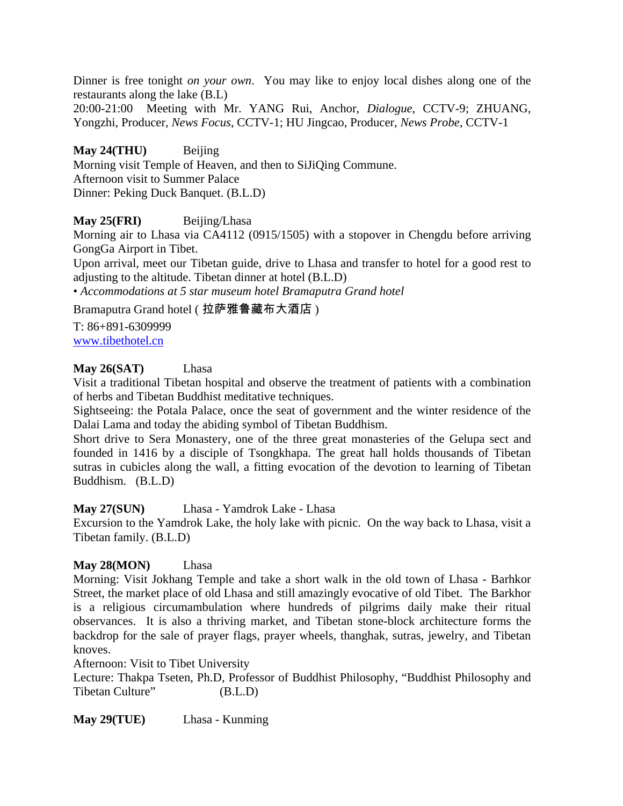Dinner is free tonight *on your own*. You may like to enjoy local dishes along one of the restaurants along the lake (B.L)

20:00-21:00 Meeting with Mr. YANG Rui, Anchor, *Dialogue*, CCTV-9; ZHUANG, Yongzhi, Producer, *News Focus*, CCTV-1; HU Jingcao, Producer, *News Probe*, CCTV-1

**May 24(THU)** Beijing Morning visit Temple of Heaven, and then to SiJiQing Commune. Afternoon visit to Summer Palace Dinner: Peking Duck Banquet. (B.L.D)

### **May 25(FRI)** Beijing/Lhasa

Morning air to Lhasa via CA4112 (0915/1505) with a stopover in Chengdu before arriving GongGa Airport in Tibet.

Upon arrival, meet our Tibetan guide, drive to Lhasa and transfer to hotel for a good rest to adjusting to the altitude. Tibetan dinner at hotel (B.L.D)

• *Accommodations at 5 star museum hotel Bramaputra Grand hotel* 

#### Bramaputra Grand hotel ( 拉萨雅鲁藏布大酒店 )

T: 86+891-6309999 www.tibethotel.cn

#### **May 26(SAT)** Lhasa

Visit a traditional Tibetan hospital and observe the treatment of patients with a combination of herbs and Tibetan Buddhist meditative techniques.

Sightseeing: the Potala Palace, once the seat of government and the winter residence of the Dalai Lama and today the abiding symbol of Tibetan Buddhism.

Short drive to Sera Monastery, one of the three great monasteries of the Gelupa sect and founded in 1416 by a disciple of Tsongkhapa. The great hall holds thousands of Tibetan sutras in cubicles along the wall, a fitting evocation of the devotion to learning of Tibetan Buddhism. (B.L.D)

#### **May 27(SUN)** Lhasa - Yamdrok Lake - Lhasa

Excursion to the Yamdrok Lake, the holy lake with picnic. On the way back to Lhasa, visit a Tibetan family. (B.L.D)

#### **May 28(MON)** Lhasa

Morning: Visit Jokhang Temple and take a short walk in the old town of Lhasa - Barhkor Street, the market place of old Lhasa and still amazingly evocative of old Tibet. The Barkhor is a religious circumambulation where hundreds of pilgrims daily make their ritual observances. It is also a thriving market, and Tibetan stone-block architecture forms the backdrop for the sale of prayer flags, prayer wheels, thanghak, sutras, jewelry, and Tibetan knoves.

#### Afternoon: Visit to Tibet University

Lecture: Thakpa Tseten, Ph.D, Professor of Buddhist Philosophy, "Buddhist Philosophy and Tibetan Culture" (B.L.D)

**May 29(TUE)** Lhasa - Kunming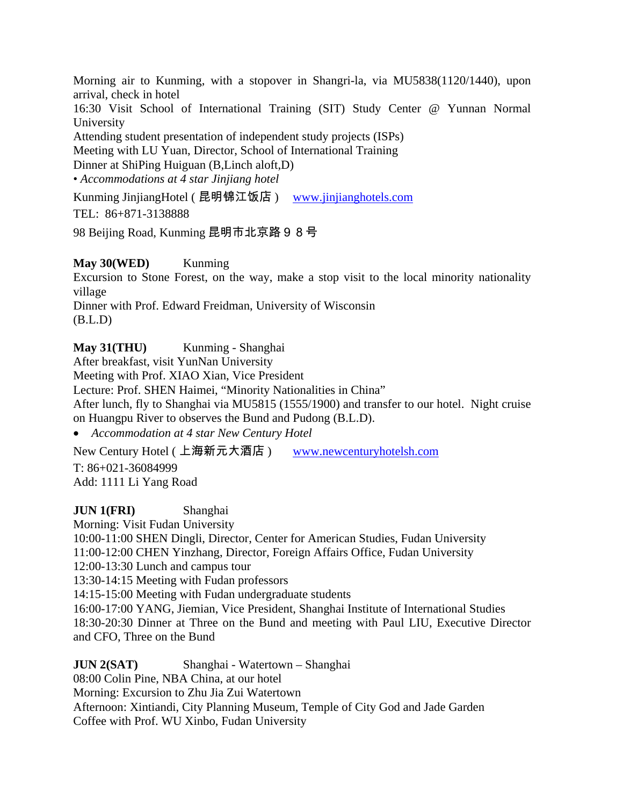Morning air to Kunming, with a stopover in Shangri-la, via MU5838(1120/1440), upon arrival, check in hotel

16:30 Visit School of International Training (SIT) Study Center @ Yunnan Normal University

Attending student presentation of independent study projects (ISPs)

Meeting with LU Yuan, Director, School of International Training

Dinner at ShiPing Huiguan (B,Linch aloft,D)

• *Accommodations at 4 star Jinjiang hotel* 

Kunming JinjiangHotel ( 昆明锦江饭店 ) www.jinjianghotels.com

TEL: 86+871-3138888

98 Beijing Road, Kunming 昆明市北京路 9 8 号

#### **May 30(WED)** Kunming

Excursion to Stone Forest, on the way, make a stop visit to the local minority nationality village

Dinner with Prof. Edward Freidman, University of Wisconsin (B.L.D)

**May 31(THU)** Kunming - Shanghai

After breakfast, visit YunNan University

Meeting with Prof. XIAO Xian, Vice President

Lecture: Prof. SHEN Haimei, "Minority Nationalities in China"

After lunch, fly to Shanghai via MU5815 (1555/1900) and transfer to our hotel. Night cruise on Huangpu River to observes the Bund and Pudong (B.L.D).

• *Accommodation at 4 star New Century Hotel* 

New Century Hotel ( 上海新元大酒店 ) www.newcenturyhotelsh.com

T: 86+021-36084999 Add: 1111 Li Yang Road

**JUN 1(FRI)** Shanghai

Morning: Visit Fudan University

10:00-11:00 SHEN Dingli, Director, Center for American Studies, Fudan University

11:00-12:00 CHEN Yinzhang, Director, Foreign Affairs Office, Fudan University

12:00-13:30 Lunch and campus tour

13:30-14:15 Meeting with Fudan professors

14:15-15:00 Meeting with Fudan undergraduate students

16:00-17:00 YANG, Jiemian, Vice President, Shanghai Institute of International Studies 18:30-20:30 Dinner at Three on the Bund and meeting with Paul LIU, Executive Director and CFO, Three on the Bund

**JUN 2(SAT)** Shanghai - Watertown – Shanghai 08:00 Colin Pine, NBA China, at our hotel Morning: Excursion to Zhu Jia Zui Watertown Afternoon: Xintiandi, City Planning Museum, Temple of City God and Jade Garden Coffee with Prof. WU Xinbo, Fudan University